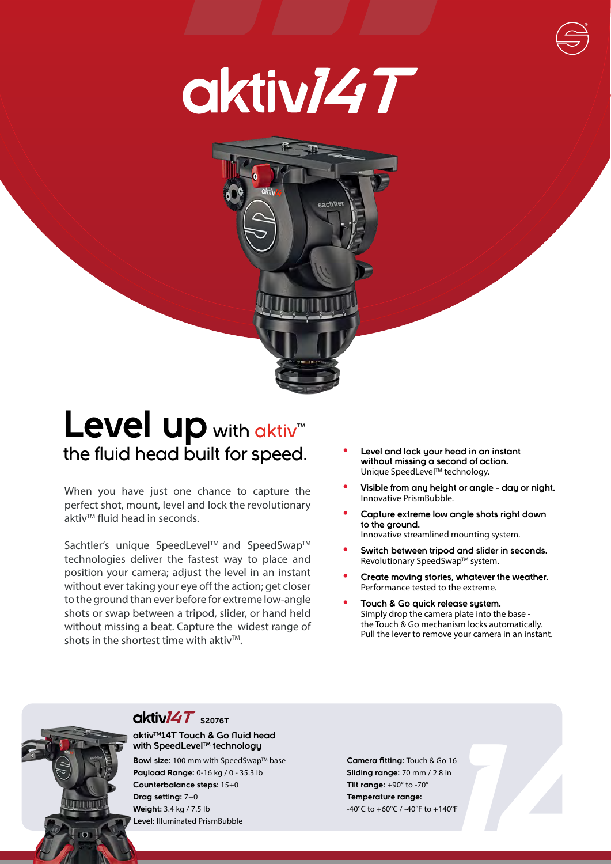



## Level up with aktiv<sup>\*\*</sup> the fluid head built for speed.

When you have just one chance to capture the perfect shot, mount, level and lock the revolutionary aktiv<sup>™</sup> fluid head in seconds.

Sachtler's unique SpeedLevel™ and SpeedSwap™ technologies deliver the fastest way to place and position your camera; adjust the level in an instant without ever taking your eye off the action; get closer to the ground than ever before for extreme low-angle shots or swap between a tripod, slider, or hand held without missing a beat. Capture the widest range of shots in the shortest time with aktiv $TM$ .

- **• Level and lock your head in an instant without missing a second of action.** Unique SpeedLevel™ technology.
- **• Visible from any height or angle day or night.** Innovative PrismBubble.
- **• Capture extreme low angle shots right down to the ground.** Innovative streamlined mounting system.
- **• Switch between tripod and slider in seconds.** Revolutionary SpeedSwap™ system.
- **• Create moving stories, whatever the weather.** Performance tested to the extreme.
- **• Touch & Go quick release system.** Simply drop the camera plate into the base the Touch & Go mechanism locks automatically. Pull the lever to remove your camera in an instant.



### **OktivI4T** S2076T

#### **aktivTM14T Touch & Go fluid head with SpeedLevelTM technology**

**Bowl size:** 100 mm with SpeedSwap™ base **Payload Range:** 0-16 kg / 0 - 35.3 lb **Counterbalance steps:** 15+0 **Drag setting:** 7+0 **Weight:** 3.4 kg / 7.5 lb **Level:** Illuminated PrismBubble

**Camera fitting:** Touch & Go 16 **Sliding range:** 70 mm / 2.8 in **Tilt range:** +90° to -70° **Temperature range:** -40°C to +60°C / -40°F to +140°F